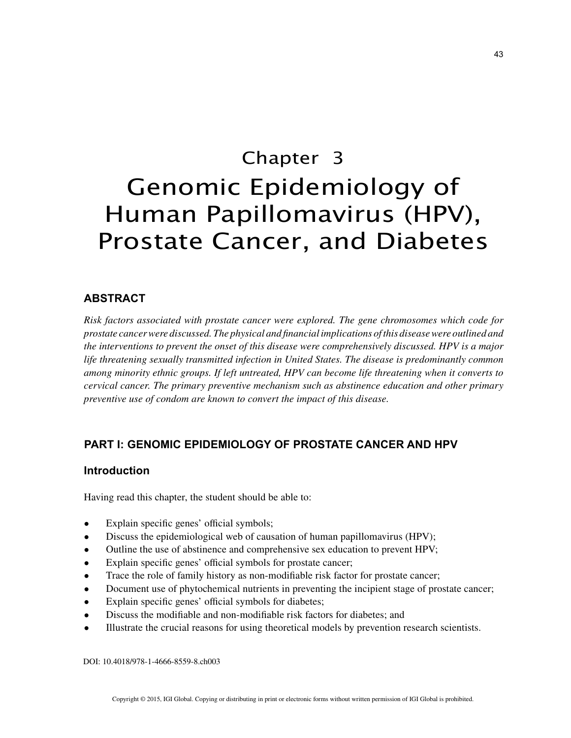# Chapter 3 Genomic Epidemiology of Human Papillomavirus (HPV), Prostate Cancer, and Diabetes

# **ABSTRACT**

*Risk factors associated with prostate cancer were explored. The gene chromosomes which code for prostate cancer were discussed. The physical and financial implications of this disease were outlined and the interventions to prevent the onset of this disease were comprehensively discussed. HPV is a major life threatening sexually transmitted infection in United States. The disease is predominantly common among minority ethnic groups. If left untreated, HPV can become life threatening when it converts to cervical cancer. The primary preventive mechanism such as abstinence education and other primary preventive use of condom are known to convert the impact of this disease.*

# **PART I: GENOMIC EPIDEMIOLOGY OF PROSTATE CANCER AND HPV**

#### **Introduction**

Having read this chapter, the student should be able to:

- Explain specific genes' official symbols;
- Discuss the epidemiological web of causation of human papillomavirus (HPV);
- Outline the use of abstinence and comprehensive sex education to prevent HPV;
- Explain specific genes' official symbols for prostate cancer;
- Trace the role of family history as non-modifiable risk factor for prostate cancer;
- Document use of phytochemical nutrients in preventing the incipient stage of prostate cancer;
- Explain specific genes' official symbols for diabetes;
- Discuss the modifiable and non-modifiable risk factors for diabetes; and
- Illustrate the crucial reasons for using theoretical models by prevention research scientists.

DOI: 10.4018/978-1-4666-8559-8.ch003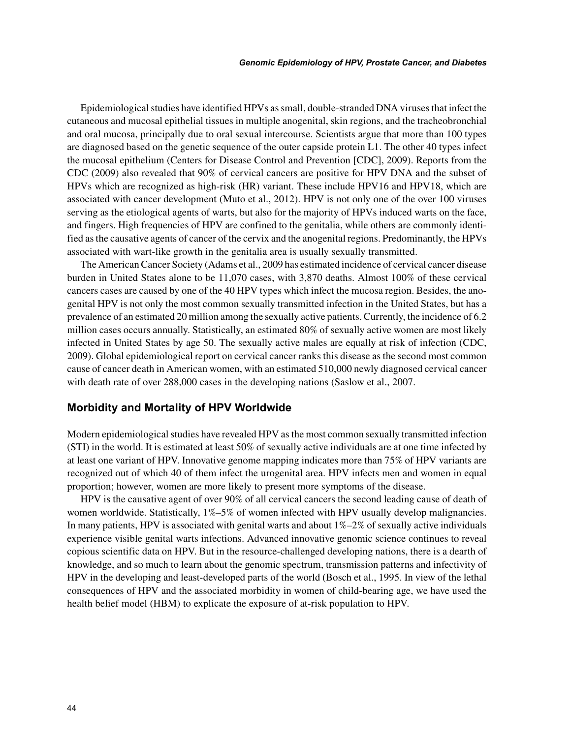Epidemiological studies have identified HPVs as small, double-stranded DNA viruses that infect the cutaneous and mucosal epithelial tissues in multiple anogenital, skin regions, and the tracheobronchial and oral mucosa, principally due to oral sexual intercourse. Scientists argue that more than 100 types are diagnosed based on the genetic sequence of the outer capside protein L1. The other 40 types infect the mucosal epithelium (Centers for Disease Control and Prevention [CDC], 2009). Reports from the CDC (2009) also revealed that 90% of cervical cancers are positive for HPV DNA and the subset of HPVs which are recognized as high-risk (HR) variant. These include HPV16 and HPV18, which are associated with cancer development (Muto et al., 2012). HPV is not only one of the over 100 viruses serving as the etiological agents of warts, but also for the majority of HPVs induced warts on the face, and fingers. High frequencies of HPV are confined to the genitalia, while others are commonly identified as the causative agents of cancer of the cervix and the anogenital regions. Predominantly, the HPVs associated with wart-like growth in the genitalia area is usually sexually transmitted.

The American Cancer Society (Adams et al., 2009 has estimated incidence of cervical cancer disease burden in United States alone to be 11,070 cases, with 3,870 deaths. Almost 100% of these cervical cancers cases are caused by one of the 40 HPV types which infect the mucosa region. Besides, the anogenital HPV is not only the most common sexually transmitted infection in the United States, but has a prevalence of an estimated 20 million among the sexually active patients. Currently, the incidence of 6.2 million cases occurs annually. Statistically, an estimated 80% of sexually active women are most likely infected in United States by age 50. The sexually active males are equally at risk of infection (CDC, 2009). Global epidemiological report on cervical cancer ranks this disease as the second most common cause of cancer death in American women, with an estimated 510,000 newly diagnosed cervical cancer with death rate of over 288,000 cases in the developing nations (Saslow et al., 2007.

#### **Morbidity and Mortality of HPV Worldwide**

Modern epidemiological studies have revealed HPV as the most common sexually transmitted infection (STI) in the world. It is estimated at least 50% of sexually active individuals are at one time infected by at least one variant of HPV. Innovative genome mapping indicates more than 75% of HPV variants are recognized out of which 40 of them infect the urogenital area. HPV infects men and women in equal proportion; however, women are more likely to present more symptoms of the disease.

HPV is the causative agent of over 90% of all cervical cancers the second leading cause of death of women worldwide. Statistically, 1%–5% of women infected with HPV usually develop malignancies. In many patients, HPV is associated with genital warts and about 1%–2% of sexually active individuals experience visible genital warts infections. Advanced innovative genomic science continues to reveal copious scientific data on HPV. But in the resource-challenged developing nations, there is a dearth of knowledge, and so much to learn about the genomic spectrum, transmission patterns and infectivity of HPV in the developing and least-developed parts of the world (Bosch et al., 1995. In view of the lethal consequences of HPV and the associated morbidity in women of child-bearing age, we have used the health belief model (HBM) to explicate the exposure of at-risk population to HPV.